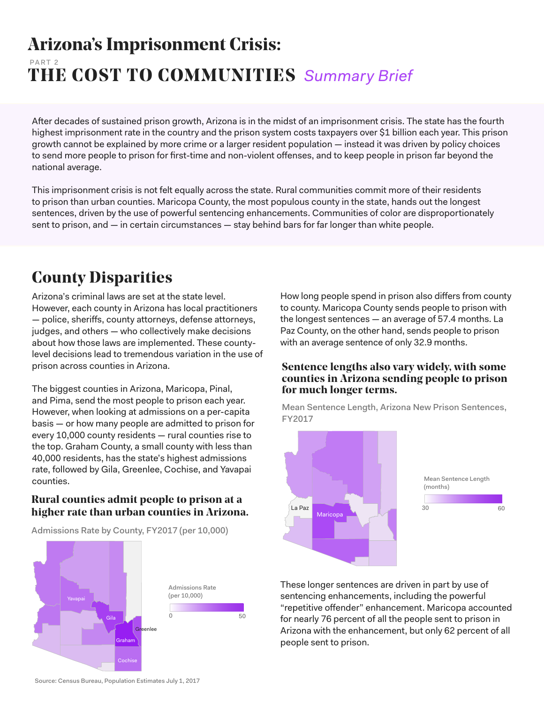### **Arizona's Imprisonment Crisis: THE COST TO COMMUNITIES** *Summary Brief* PART 2

After decades of sustained prison growth, Arizona is in the midst of an imprisonment crisis. The state has the fourth highest imprisonment rate in the country and the prison system costs taxpayers over \$1 billion each year. This prison growth cannot be explained by more crime or a larger resident population — instead it was driven by policy choices to send more people to prison for first-time and non-violent offenses, and to keep people in prison far beyond the national average.

This imprisonment crisis is not felt equally across the state. Rural communities commit more of their residents to prison than urban counties. Maricopa County, the most populous county in the state, hands out the longest sentences, driven by the use of powerful sentencing enhancements. Communities of color are disproportionately sent to prison, and — in certain circumstances — stay behind bars for far longer than white people.

## **County Disparities**

Arizona's criminal laws are set at the state level. However, each county in Arizona has local practitioners — police, sheriffs, county attorneys, defense attorneys, judges, and others — who collectively make decisions about how those laws are implemented. These countylevel decisions lead to tremendous variation in the use of prison across counties in Arizona.

The biggest counties in Arizona, Maricopa, Pinal, and Pima, send the most people to prison each year. However, when looking at admissions on a per-capita basis — or how many people are admitted to prison for every 10,000 county residents — rural counties rise to the top. Graham County, a small county with less than 40,000 residents, has the state's highest admissions rate, followed by Gila, Greenlee, Cochise, and Yavapai counties.

### **Rural counties admit people to prison at a higher rate than urban counties in Arizona.**

Admissions Rate by County, FY2017 (per 10,000)



How long people spend in prison also differs from county to county. Maricopa County sends people to prison with the longest sentences — an average of 57.4 months. La Paz County, on the other hand, sends people to prison with an average sentence of only 32.9 months.

### **Sentence lengths also vary widely, with some counties in Arizona sending people to prison for much longer terms.**

Mean Sentence Length, Arizona New Prison Sentences, FY2017



These longer sentences are driven in part by use of sentencing enhancements, including the powerful "repetitive offender" enhancement. Maricopa accounted for nearly 76 percent of all the people sent to prison in Arizona with the enhancement, but only 62 percent of all people sent to prison.